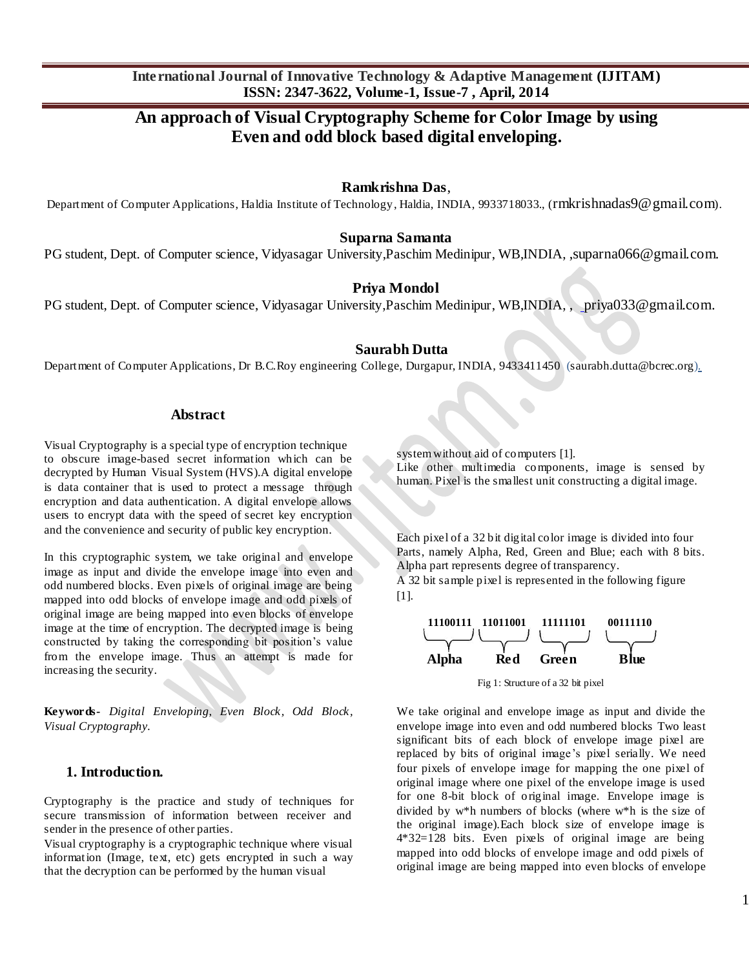# **An approach of Visual Cryptography Scheme for Color Image by using Even and odd block based digital enveloping.**

**Ramkrishna Das**,

Department of Computer Applications, Haldia Institute of Technology, Haldia, INDIA, 9933718033., ([rmkrishnadas9@gmail.com](mailto:rmkrishnadas9@gmail.com)).

### **Suparna Samanta**

PG student, Dept. of Computer science, Vidyasagar University, Paschim Medinipur, WB, INDIA, , suparna066@gmail.com.

#### **Priya Mondol**

PG student, Dept. of Computer science, Vidyasagar University,Paschim Medinipur, WB,INDIA, ,[priya033@gmail.com.](mailto:priya033@gmail.com)

## **Saurabh Dutta**

Department of Computer Applications, Dr B.C.Roy engineering College, Durgapur, INDIA, 9433411450 (saurabh.dutta@bcrec.org).

## **Abstract**

Visual Cryptography is a special type of encryption technique to obscure image-based secret information which can be decrypted by Human Visual System (HVS).A digital envelope is data container that is used to protect a message through encryption and data authentication. A digital envelope allows users to encrypt data with the speed of secret key encryption and the convenience and security of public key encryption.

In this cryptographic system, we take original and envelope image as input and divide the envelope image into even and odd numbered blocks. Even pixels of original image are being mapped into odd blocks of envelope image and odd pixels of original image are being mapped into even blocks of envelope image at the time of encryption. The decrypted image is being constructed by taking the corresponding bit position's value from the envelope image. Thus an attempt is made for increasing the security.

**Keywords***- Digital Enveloping, Even Block, Odd Block, Visual Cryptography.*

#### **1. Introduction.**

Cryptography is the practice and study of techniques for secure transmission of information between receiver and sender in the presence of other parties.

Visual cryptography is a cryptographic technique where visual information (Image, text, etc) gets encrypted in such a way that the decryption can be performed by the human visual

system without aid of computers [1].

Like other multimedia components, image is sensed by human. Pixel is the smallest unit constructing a digital image.

Each pixel of a 32 bit digital color image is divided into four Parts, namely Alpha, Red, Green and Blue; each with 8 bits. Alpha part represents degree of transparency.

A 32 bit sample pixel is represented in the following figure [1].



Fig 1: Structure of a 32 bit pixel

We take original and envelope image as input and divide the envelope image into even and odd numbered blocks Two least significant bits of each block of envelope image pixel are replaced by bits of original image's pixel serially. We need four pixels of envelope image for mapping the one pixel of original image where one pixel of the envelope image is used for one 8-bit block of original image. Envelope image is divided by w\*h numbers of blocks (where w\*h is the size of the original image).Each block size of envelope image is 4\*32=128 bits. Even pixels of original image are being mapped into odd blocks of envelope image and odd pixels of original image are being mapped into even blocks of envelope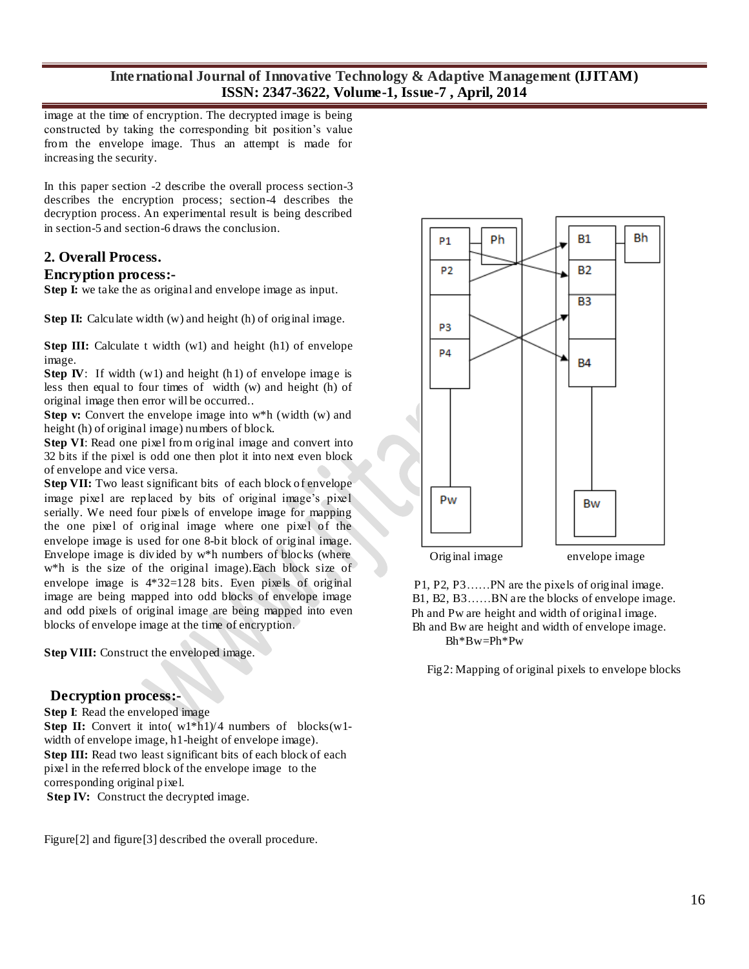image at the time of encryption. The decrypted image is being constructed by taking the corresponding bit position's value from the envelope image. Thus an attempt is made for increasing the security.

In this paper section -2 describe the overall process section-3 describes the encryption process; section-4 describes the decryption process. An experimental result is being described in section-5 and section-6 draws the conclusion.

## **2. Overall Process.**

## **Encryption process:-**

**Step I:** we take the as original and envelope image as input.

**Step II:** Calculate width (w) and height (h) of original image.

**Step III:** Calculate t width (w1) and height (h1) of envelope image.

**Step IV:** If width (w1) and height (h1) of envelope image is less then equal to four times of width (w) and height (h) of original image then error will be occurred..

**Step v:** Convert the envelope image into w<sup>\*</sup>h (width (w) and height (h) of original image) numbers of block.

**Step VI:** Read one pixel from original image and convert into 32 bits if the pixel is odd one then plot it into next even block of envelope and vice versa.

**Step VII:** Two least significant bits of each block of envelope image pixel are replaced by bits of original image's pixel serially. We need four pixels of envelope image for mapping the one pixel of original image where one pixel of the envelope image is used for one 8-bit block of original image. Envelope image is divided by w\*h numbers of blocks (where w\*h is the size of the original image).Each block size of envelope image is 4\*32=128 bits. Even pixels of original image are being mapped into odd blocks of envelope image and odd pixels of original image are being mapped into even blocks of envelope image at the time of encryption.

**Step VIII:** Construct the enveloped image.

## **Decryption process:-**

**Step I**: Read the enveloped image

**Step II:** Convert it into( w1\*h1)/4 numbers of blocks(w1width of envelope image, h1-height of envelope image). **Step III:** Read two least significant bits of each block of each pixel in the referred block of the envelope image to the corresponding original pixel.

**Step IV:** Construct the decrypted image.

Figure<sup>[2]</sup> and figure<sup>[3]</sup> described the overall procedure.



 P1, P2, P3……PN are the pixels of original image. B1, B2, B3……BN are the blocks of envelope image. Ph and Pw are height and width of original image. Bh and Bw are height and width of envelope image. Bh\*Bw=Ph\*Pw

Fig2: Mapping of original pixels to envelope blocks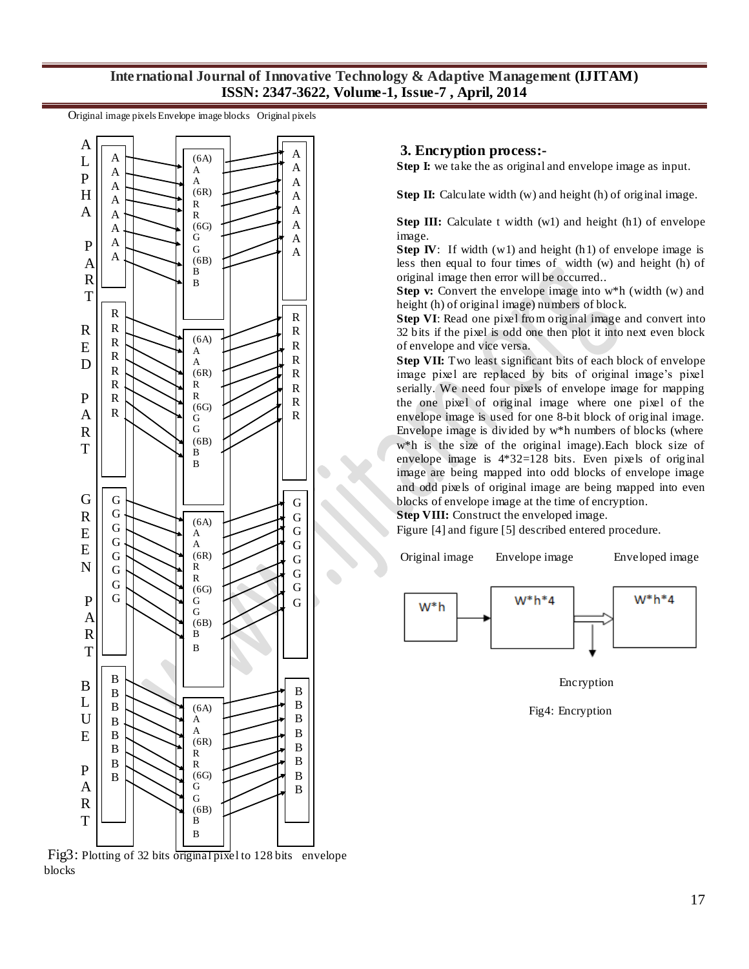Original image pixels Envelope image blocks Original pixels



Fig3: Plotting of 32 bits original pixel to 128 bits envelope blocks

## **3. Encryption process:-**

**Step I:** we take the as original and envelope image as input.

**Step II:** Calculate width (w) and height (h) of original image.

**Step III:** Calculate t width (w1) and height (h1) of envelope image.

**Step IV**: If width (w1) and height (h1) of envelope image is less then equal to four times of width (w) and height (h) of original image then error will be occurred..

**Step v:** Convert the envelope image into w<sup>\*h</sup> (width (w) and height (h) of original image) numbers of block.

**Step VI**: Read one pixel from original image and convert into 32 bits if the pixel is odd one then plot it into next even block of envelope and vice versa.

**Step VII:** Two least significant bits of each block of envelope image pixel are replaced by bits of original image's pixel serially. We need four pixels of envelope image for mapping the one pixel of original image where one pixel of the envelope image is used for one 8-bit block of original image. Envelope image is divided by w\*h numbers of blocks (where w\*h is the size of the original image).Each block size of envelope image is 4\*32=128 bits. Even pixels of original image are being mapped into odd blocks of envelope image and odd pixels of original image are being mapped into even blocks of envelope image at the time of encryption.

**Step VIII:** Construct the enveloped image.

Figure [4] and figure [5] described entered procedure.



Encryption

Fig4: Encryption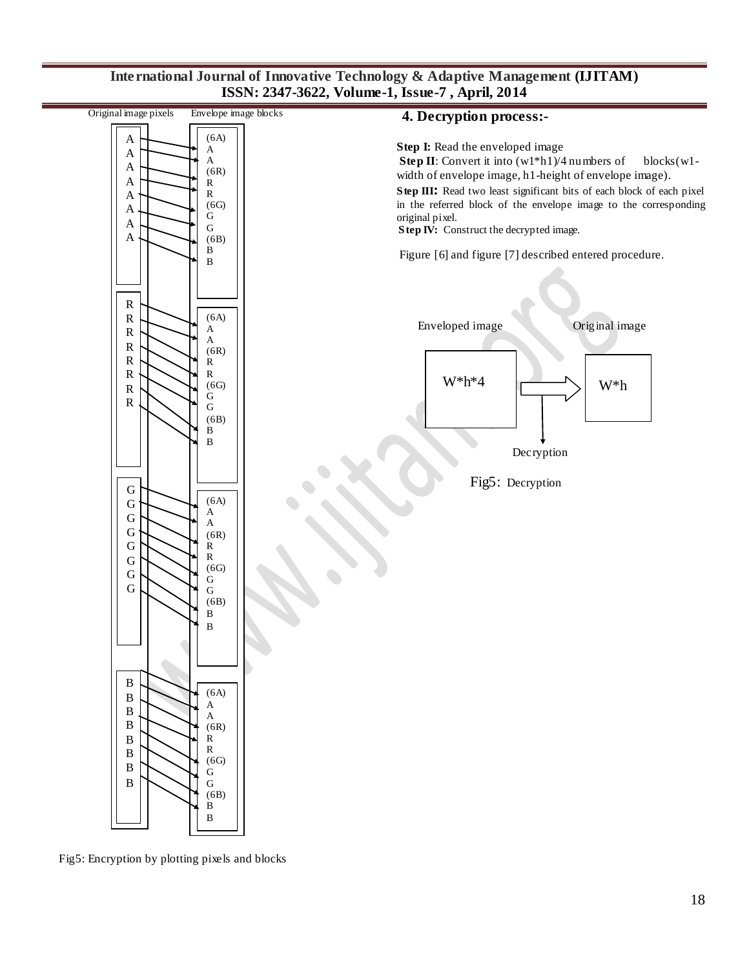

Fig5: Encryption by plotting pixels and blocks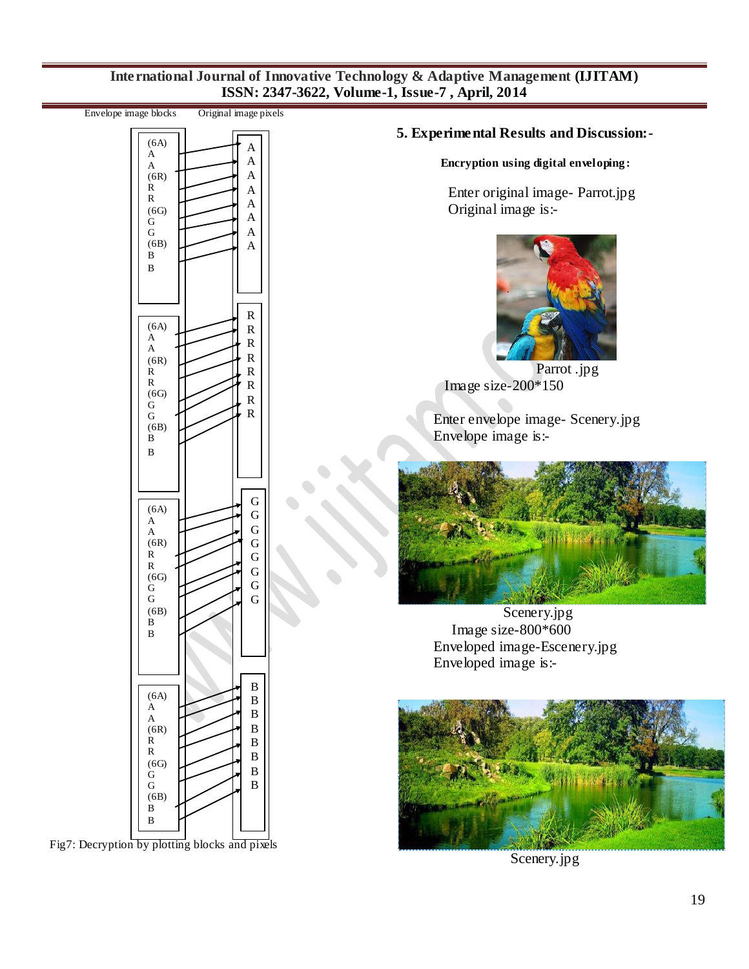